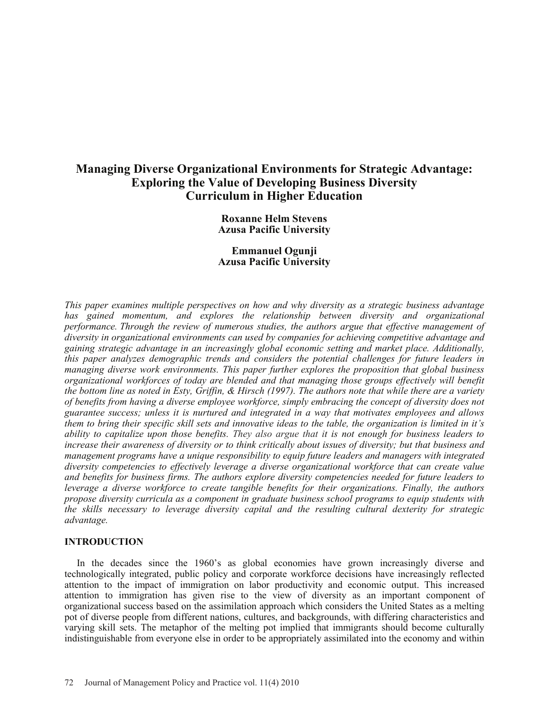# **Managing Diverse Organizational Environments for Strategic Advantage: Exploring the Value of Developing Business Diversity Curriculum in Higher Education**

**Roxanne Helm Stevens Azusa Pacific University**

**Emmanuel Ogunji Azusa Pacific University**

*This paper examines multiple perspectives on how and why diversity as a strategic business advantage*  has gained momentum, and explores the relationship between diversity and organizational *performance. Through the review of numerous studies, the authors argue that effective management of diversity in organizational environments can used by companies for achieving competitive advantage and gaining strategic advantage in an increasingly global economic setting and market place. Additionally, this paper analyzes demographic trends and considers the potential challenges for future leaders in managing diverse work environments. This paper further explores the proposition that global business organizational workforces of today are blended and that managing those groups effectively will benefit the bottom line as noted in Esty, Griffin, & Hirsch (1997). The authors note that while there are a variety of benefits from having a diverse employee workforce, simply embracing the concept of diversity does not guarantee success; unless it is nurtured and integrated in a way that motivates employees and allows them to bring their specific skill sets and innovative ideas to the table, the organization is limited in it's ability to capitalize upon those benefits. They also argue that it is not enough for business leaders to increase their awareness of diversity or to think critically about issues of diversity; but that business and management programs have a unique responsibility to equip future leaders and managers with integrated diversity competencies to effectively leverage a diverse organizational workforce that can create value and benefits for business firms. The authors explore diversity competencies needed for future leaders to*  leverage a diverse workforce to create tangible benefits for their organizations. Finally, the authors *propose diversity curricula as a component in graduate business school programs to equip students with the skills necessary to leverage diversity capital and the resulting cultural dexterity for strategic advantage.* 

#### **INTRODUCTION**

In the decades since the 1960's as global economies have grown increasingly diverse and technologically integrated, public policy and corporate workforce decisions have increasingly reflected attention to the impact of immigration on labor productivity and economic output. This increased attention to immigration has given rise to the view of diversity as an important component of organizational success based on the assimilation approach which considers the United States as a melting pot of diverse people from different nations, cultures, and backgrounds, with differing characteristics and varying skill sets. The metaphor of the melting pot implied that immigrants should become culturally indistinguishable from everyone else in order to be appropriately assimilated into the economy and within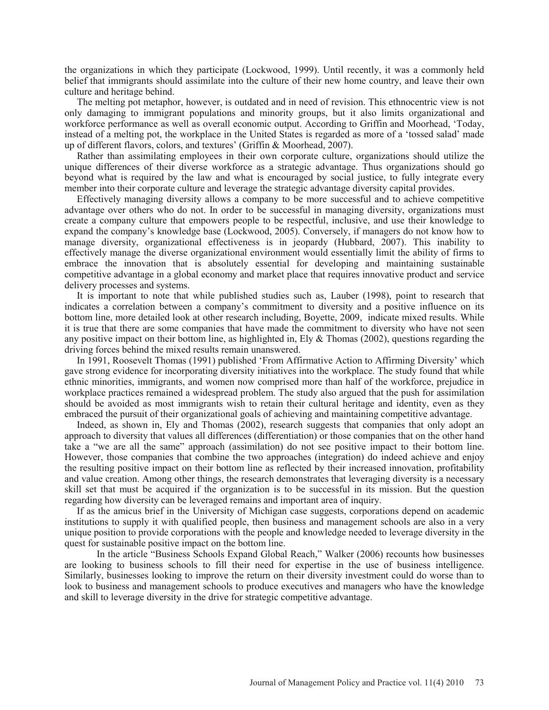the organizations in which they participate (Lockwood, 1999). Until recently, it was a commonly held belief that immigrants should assimilate into the culture of their new home country, and leave their own culture and heritage behind.

The melting pot metaphor, however, is outdated and in need of revision. This ethnocentric view is not only damaging to immigrant populations and minority groups, but it also limits organizational and workforce performance as well as overall economic output. According to Griffin and Moorhead, 'Today, instead of a melting pot, the workplace in the United States is regarded as more of a 'tossed salad' made up of different flavors, colors, and textures' (Griffin & Moorhead, 2007).

Rather than assimilating employees in their own corporate culture, organizations should utilize the unique differences of their diverse workforce as a strategic advantage. Thus organizations should go beyond what is required by the law and what is encouraged by social justice, to fully integrate every member into their corporate culture and leverage the strategic advantage diversity capital provides.

Effectively managing diversity allows a company to be more successful and to achieve competitive advantage over others who do not. In order to be successful in managing diversity, organizations must create a company culture that empowers people to be respectful, inclusive, and use their knowledge to expand the company's knowledge base (Lockwood, 2005). Conversely, if managers do not know how to manage diversity, organizational effectiveness is in jeopardy (Hubbard, 2007). This inability to effectively manage the diverse organizational environment would essentially limit the ability of firms to embrace the innovation that is absolutely essential for developing and maintaining sustainable competitive advantage in a global economy and market place that requires innovative product and service delivery processes and systems.

It is important to note that while published studies such as, Lauber (1998), point to research that indicates a correlation between a company's commitment to diversity and a positive influence on its bottom line, more detailed look at other research including, Boyette, 2009, indicate mixed results. While it is true that there are some companies that have made the commitment to diversity who have not seen any positive impact on their bottom line, as highlighted in, Ely  $\&$  Thomas (2002), questions regarding the driving forces behind the mixed results remain unanswered.

In 1991, Roosevelt Thomas (1991) published 'From Affirmative Action to Affirming Diversity' which gave strong evidence for incorporating diversity initiatives into the workplace. The study found that while ethnic minorities, immigrants, and women now comprised more than half of the workforce, prejudice in workplace practices remained a widespread problem. The study also argued that the push for assimilation should be avoided as most immigrants wish to retain their cultural heritage and identity, even as they embraced the pursuit of their organizational goals of achieving and maintaining competitive advantage.

Indeed, as shown in, Ely and Thomas (2002), research suggests that companies that only adopt an approach to diversity that values all differences (differentiation) or those companies that on the other hand take a "we are all the same" approach (assimilation) do not see positive impact to their bottom line. However, those companies that combine the two approaches (integration) do indeed achieve and enjoy the resulting positive impact on their bottom line as reflected by their increased innovation, profitability and value creation. Among other things, the research demonstrates that leveraging diversity is a necessary skill set that must be acquired if the organization is to be successful in its mission. But the question regarding how diversity can be leveraged remains and important area of inquiry.

If as the amicus brief in the University of Michigan case suggests, corporations depend on academic institutions to supply it with qualified people, then business and management schools are also in a very unique position to provide corporations with the people and knowledge needed to leverage diversity in the quest for sustainable positive impact on the bottom line.

In the article "Business Schools Expand Global Reach," Walker (2006) recounts how businesses are looking to business schools to fill their need for expertise in the use of business intelligence. Similarly, businesses looking to improve the return on their diversity investment could do worse than to look to business and management schools to produce executives and managers who have the knowledge and skill to leverage diversity in the drive for strategic competitive advantage.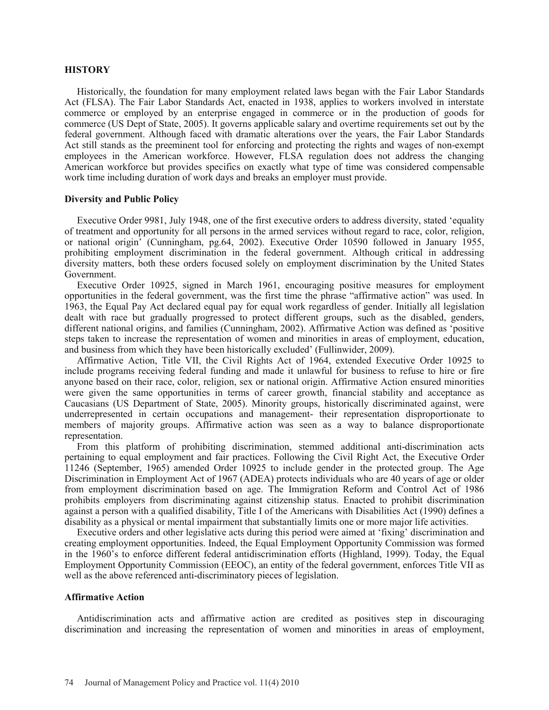# **HISTORY**

Historically, the foundation for many employment related laws began with the Fair Labor Standards Act (FLSA). The Fair Labor Standards Act, enacted in 1938, applies to workers involved in interstate commerce or employed by an enterprise engaged in commerce or in the production of goods for commerce (US Dept of State, 2005). It governs applicable salary and overtime requirements set out by the federal government. Although faced with dramatic alterations over the years, the Fair Labor Standards Act still stands as the preeminent tool for enforcing and protecting the rights and wages of non-exempt employees in the American workforce. However, FLSA regulation does not address the changing American workforce but provides specifics on exactly what type of time was considered compensable work time including duration of work days and breaks an employer must provide.

#### **Diversity and Public Policy**

Executive Order 9981, July 1948, one of the first executive orders to address diversity, stated 'equality of treatment and opportunity for all persons in the armed services without regard to race, color, religion, or national origin' (Cunningham, pg.64, 2002). Executive Order 10590 followed in January 1955, prohibiting employment discrimination in the federal government. Although critical in addressing diversity matters, both these orders focused solely on employment discrimination by the United States Government.

Executive Order 10925, signed in March 1961, encouraging positive measures for employment opportunities in the federal government, was the first time the phrase "affirmative action" was used. In 1963, the Equal Pay Act declared equal pay for equal work regardless of gender. Initially all legislation dealt with race but gradually progressed to protect different groups, such as the disabled, genders, different national origins, and families (Cunningham, 2002). Affirmative Action was defined as 'positive steps taken to increase the representation of women and minorities in areas of employment, education, and business from which they have been historically excluded' (Fullinwider, 2009).

Affirmative Action, Title VII, the Civil Rights Act of 1964, extended Executive Order 10925 to include programs receiving federal funding and made it unlawful for business to refuse to hire or fire anyone based on their race, color, religion, sex or national origin. Affirmative Action ensured minorities were given the same opportunities in terms of career growth, financial stability and acceptance as Caucasians (US Department of State, 2005). Minority groups, historically discriminated against, were underrepresented in certain occupations and management- their representation disproportionate to members of majority groups. Affirmative action was seen as a way to balance disproportionate representation.

From this platform of prohibiting discrimination, stemmed additional anti-discrimination acts pertaining to equal employment and fair practices. Following the Civil Right Act, the Executive Order 11246 (September, 1965) amended Order 10925 to include gender in the protected group. The Age Discrimination in Employment Act of 1967 (ADEA) protects individuals who are 40 years of age or older from employment discrimination based on age. The Immigration Reform and Control Act of 1986 prohibits employers from discriminating against citizenship status. Enacted to prohibit discrimination against a person with a qualified disability, Title I of the Americans with Disabilities Act (1990) defines a disability as a physical or mental impairment that substantially limits one or more major life activities.

Executive orders and other legislative acts during this period were aimed at 'fixing' discrimination and creating employment opportunities. Indeed, the Equal Employment Opportunity Commission was formed in the 1960's to enforce different federal antidiscrimination efforts (Highland, 1999). Today, the Equal Employment Opportunity Commission (EEOC), an entity of the federal government, enforces Title VII as well as the above referenced anti-discriminatory pieces of legislation.

## **Affirmative Action**

Antidiscrimination acts and affirmative action are credited as positives step in discouraging discrimination and increasing the representation of women and minorities in areas of employment,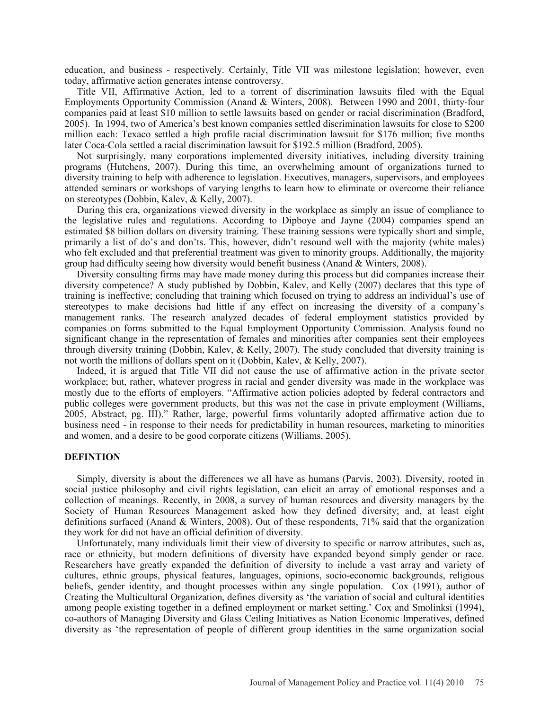education, and business - respectively. Certainly, Title VII was milestone legislation; however, even today, affirmative action generates intense controversy.

Title VII, Affirmative Action, led to a torrent of discrimination lawsuits filed with the Equal Employments Opportunity Commission (Anand & Winters, 2008). Between 1990 and 2001, thirty-four companies paid at least \$10 million to settle lawsuits based on gender or racial discrimination (Bradford, 2005). In 1994, two of America's best known companies settled discrimination lawsuits for close to \$200 million each: Texaco settled a high profile racial discrimination lawsuit for \$176 million; five months later Coca-Cola settled a racial discrimination lawsuit for \$192.5 million (Bradford, 2005).

Not surprisingly, many corporations implemented diversity initiatives, including diversity training programs (Hutchens, 2007). During this time, an overwhelming amount of organizations turned to diversity training to help with adherence to legislation. Executives, managers, supervisors, and employees attended seminars or workshops of varying lengths to learn how to eliminate or overcome their reliance on stereotypes (Dobbin, Kalev, & Kelly, 2007).

During this era, organizations viewed diversity in the workplace as simply an issue of compliance to the legislative rules and regulations. According to Dipboye and Jayne (2004) companies spend an estimated \$8 billion dollars on diversity training. These training sessions were typically short and simple, primarily a list of do's and don'ts. This, however, didn't resound well with the majority (white males) who felt excluded and that preferential treatment was given to minority groups. Additionally, the majority group had difficulty seeing how diversity would benefit business (Anand & Winters, 2008).

Diversity consulting firms may have made money during this process but did companies increase their diversity competence? A study published by Dobbin, Kalev, and Kelly (2007) declares that this type of training is ineffective; concluding that training which focused on trying to address an individual's use of stereotypes to make decisions had little if any effect on increasing the diversity of a company's management ranks. The research analyzed decades of federal employment statistics provided by companies on forms submitted to the Equal Employment Opportunity Commission. Analysis found no significant change in the representation of females and minorities after companies sent their employees through diversity training (Dobbin, Kalev, & Kelly, 2007). The study concluded that diversity training is not worth the millions of dollars spent on it (Dobbin, Kalev, & Kelly, 2007).

Indeed, it is argued that Title VII did not cause the use of affirmative action in the private sector workplace; but, rather, whatever progress in racial and gender diversity was made in the workplace was mostly due to the efforts of employers. "Affirmative action policies adopted by federal contractors and public colleges were government products, but this was not the case in private employment (Williams, 2005, Abstract, pg. III)." Rather, large, powerful firms voluntarily adopted affirmative action due to business need - in response to their needs for predictability in human resources, marketing to minorities and women, and a desire to be good corporate citizens (Williams, 2005).

# **DEFINTION**

Simply, diversity is about the differences we all have as humans (Parvis, 2003). Diversity, rooted in social justice philosophy and civil rights legislation, can elicit an array of emotional responses and a collection of meanings. Recently, in 2008, a survey of human resources and diversity managers by the Society of Human Resources Management asked how they defined diversity; and, at least eight definitions surfaced (Anand & Winters, 2008). Out of these respondents, 71% said that the organization they work for did not have an official definition of diversity.

Unfortunately, many individuals limit their view of diversity to specific or narrow attributes, such as, race or ethnicity, but modern definitions of diversity have expanded beyond simply gender or race. Researchers have greatly expanded the definition of diversity to include a vast array and variety of cultures, ethnic groups, physical features, languages, opinions, socio-economic backgrounds, religious beliefs, gender identity, and thought processes within any single population. Cox (1991), author of Creating the Multicultural Organization, defines diversity as 'the variation of social and cultural identities among people existing together in a defined employment or market setting.' Cox and Smolinksi (1994), co-authors of Managing Diversity and Glass Ceiling Initiatives as Nation Economic Imperatives, defined diversity as 'the representation of people of different group identities in the same organization social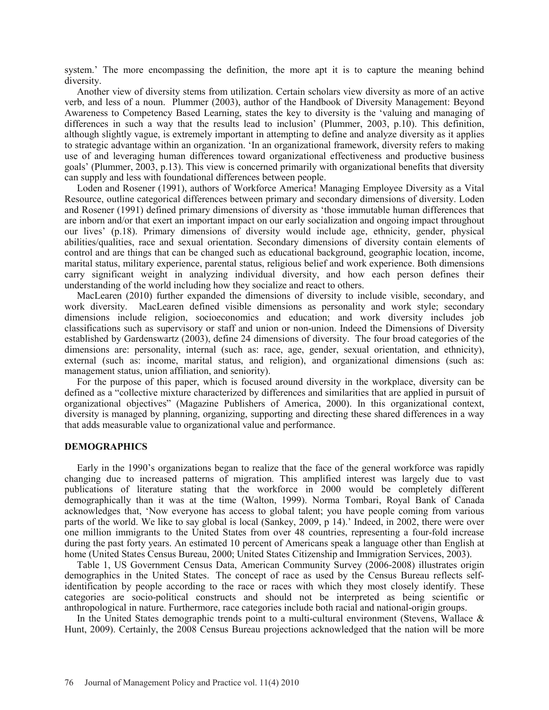system.' The more encompassing the definition, the more apt it is to capture the meaning behind diversity.

Another view of diversity stems from utilization. Certain scholars view diversity as more of an active verb, and less of a noun. Plummer (2003), author of the Handbook of Diversity Management: Beyond Awareness to Competency Based Learning, states the key to diversity is the 'valuing and managing of differences in such a way that the results lead to inclusion' (Plummer, 2003, p.10). This definition, although slightly vague, is extremely important in attempting to define and analyze diversity as it applies to strategic advantage within an organization. 'In an organizational framework, diversity refers to making use of and leveraging human differences toward organizational effectiveness and productive business goals' (Plummer, 2003, p.13). This view is concerned primarily with organizational benefits that diversity can supply and less with foundational differences between people.

Loden and Rosener (1991), authors of Workforce America! Managing Employee Diversity as a Vital Resource, outline categorical differences between primary and secondary dimensions of diversity. Loden and Rosener (1991) defined primary dimensions of diversity as 'those immutable human differences that are inborn and/or that exert an important impact on our early socialization and ongoing impact throughout our lives' (p.18). Primary dimensions of diversity would include age, ethnicity, gender, physical abilities/qualities, race and sexual orientation. Secondary dimensions of diversity contain elements of control and are things that can be changed such as educational background, geographic location, income, marital status, military experience, parental status, religious belief and work experience. Both dimensions carry significant weight in analyzing individual diversity, and how each person defines their understanding of the world including how they socialize and react to others.

MacLearen (2010) further expanded the dimensions of diversity to include visible, secondary, and work diversity. MacLearen defined visible dimensions as personality and work style; secondary dimensions include religion, socioeconomics and education; and work diversity includes job classifications such as supervisory or staff and union or non-union. Indeed the Dimensions of Diversity established by Gardenswartz (2003), define 24 dimensions of diversity. The four broad categories of the dimensions are: personality, internal (such as: race, age, gender, sexual orientation, and ethnicity), external (such as: income, marital status, and religion), and organizational dimensions (such as: management status, union affiliation, and seniority).

For the purpose of this paper, which is focused around diversity in the workplace, diversity can be defined as a "collective mixture characterized by differences and similarities that are applied in pursuit of organizational objectives" (Magazine Publishers of America, 2000). In this organizational context, diversity is managed by planning, organizing, supporting and directing these shared differences in a way that adds measurable value to organizational value and performance.

# **DEMOGRAPHICS**

Early in the 1990's organizations began to realize that the face of the general workforce was rapidly changing due to increased patterns of migration. This amplified interest was largely due to vast publications of literature stating that the workforce in 2000 would be completely different demographically than it was at the time (Walton, 1999). Norma Tombari, Royal Bank of Canada acknowledges that, 'Now everyone has access to global talent; you have people coming from various parts of the world. We like to say global is local (Sankey, 2009, p 14).' Indeed, in 2002, there were over one million immigrants to the United States from over 48 countries, representing a four-fold increase during the past forty years. An estimated 10 percent of Americans speak a language other than English at home (United States Census Bureau, 2000; United States Citizenship and Immigration Services, 2003).

Table 1, US Government Census Data, American Community Survey (2006-2008) illustrates origin demographics in the United States. The concept of race as used by the Census Bureau reflects selfidentification by people according to the race or races with which they most closely identify. These categories are socio-political constructs and should not be interpreted as being scientific or anthropological in nature. Furthermore, race categories include both racial and national-origin groups.

In the United States demographic trends point to a multi-cultural environment (Stevens, Wallace  $\&$ Hunt, 2009). Certainly, the 2008 Census Bureau projections acknowledged that the nation will be more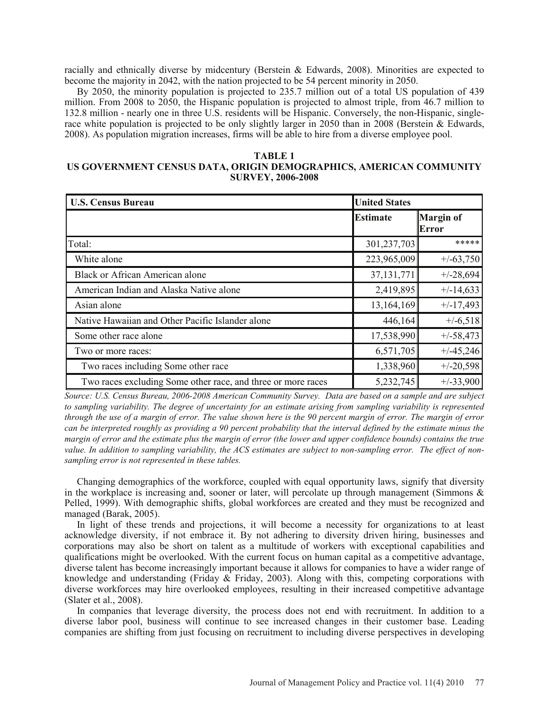racially and ethnically diverse by midcentury (Berstein & Edwards, 2008). Minorities are expected to become the majority in 2042, with the nation projected to be 54 percent minority in 2050.

By 2050, the minority population is projected to 235.7 million out of a total US population of 439 million. From 2008 to 2050, the Hispanic population is projected to almost triple, from 46.7 million to 132.8 million - nearly one in three U.S. residents will be Hispanic. Conversely, the non-Hispanic, singlerace white population is projected to be only slightly larger in 2050 than in 2008 (Berstein & Edwards, 2008). As population migration increases, firms will be able to hire from a diverse employee pool.

# **TABLE 1 US GOVERNMENT CENSUS DATA, ORIGIN DEMOGRAPHICS, AMERICAN COMMUNITY SURVEY, 2006-2008**

| <b>U.S. Census Bureau</b>                                    | <b>United States</b> |                                  |
|--------------------------------------------------------------|----------------------|----------------------------------|
|                                                              | <b>Estimate</b>      | <b>Margin of</b><br><b>Error</b> |
| Total:                                                       | 301,237,703          | *****                            |
| White alone                                                  | 223,965,009          | $+/-63,750$                      |
| <b>Black or African American alone</b>                       | 37, 131, 771         | $+/-28,694$                      |
| American Indian and Alaska Native alone                      | 2,419,895            | $+/-14,633$                      |
| Asian alone                                                  | 13,164,169           | $+/-17,493$                      |
| Native Hawaiian and Other Pacific Islander alone             | 446,164              | $+/-6,518$                       |
| Some other race alone                                        | 17,538,990           | $+/-58,473$                      |
| Two or more races:                                           | 6,571,705            | $+/-45,246$                      |
| Two races including Some other race                          | 1,338,960            | $+/-20,598$                      |
| Two races excluding Some other race, and three or more races | 5,232,745            | $+/-33,900$                      |

*Source: U.S. Census Bureau, 2006-2008 American Community Survey. Data are based on a sample and are subject to sampling variability. The degree of uncertainty for an estimate arising from sampling variability is represented through the use of a margin of error. The value shown here is the 90 percent margin of error. The margin of error can be interpreted roughly as providing a 90 percent probability that the interval defined by the estimate minus the margin of error and the estimate plus the margin of error (the lower and upper confidence bounds) contains the true value. In addition to sampling variability, the ACS estimates are subject to non-sampling error. The effect of nonsampling error is not represented in these tables.*

Changing demographics of the workforce, coupled with equal opportunity laws, signify that diversity in the workplace is increasing and, sooner or later, will percolate up through management (Simmons & Pelled, 1999). With demographic shifts, global workforces are created and they must be recognized and managed (Barak, 2005).

In light of these trends and projections, it will become a necessity for organizations to at least acknowledge diversity, if not embrace it. By not adhering to diversity driven hiring, businesses and corporations may also be short on talent as a multitude of workers with exceptional capabilities and qualifications might be overlooked. With the current focus on human capital as a competitive advantage, diverse talent has become increasingly important because it allows for companies to have a wider range of knowledge and understanding (Friday & Friday, 2003). Along with this, competing corporations with diverse workforces may hire overlooked employees, resulting in their increased competitive advantage (Slater et al., 2008).

In companies that leverage diversity, the process does not end with recruitment. In addition to a diverse labor pool, business will continue to see increased changes in their customer base. Leading companies are shifting from just focusing on recruitment to including diverse perspectives in developing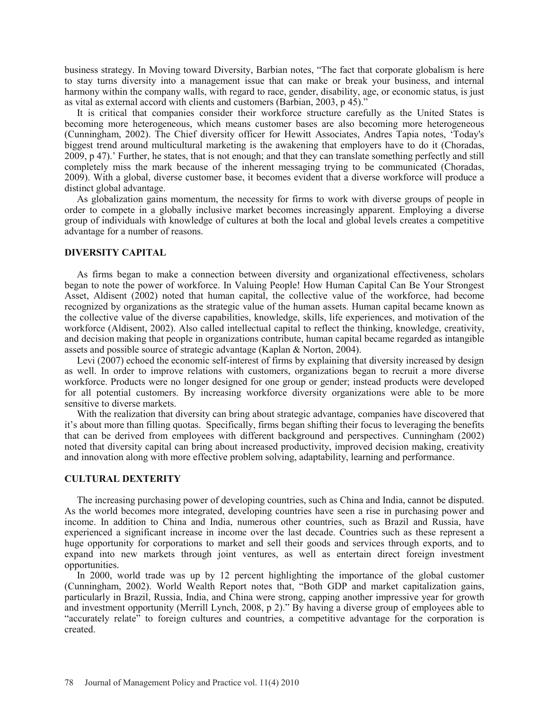business strategy. In Moving toward Diversity, Barbian notes, "The fact that corporate globalism is here to stay turns diversity into a management issue that can make or break your business, and internal harmony within the company walls, with regard to race, gender, disability, age, or economic status, is just as vital as external accord with clients and customers (Barbian, 2003, p 45)."

It is critical that companies consider their workforce structure carefully as the United States is becoming more heterogeneous, which means customer bases are also becoming more heterogeneous (Cunningham, 2002). The Chief diversity officer for Hewitt Associates, Andres Tapia notes, 'Today's biggest trend around multicultural marketing is the awakening that employers have to do it (Choradas, 2009, p 47).' Further, he states, that is not enough; and that they can translate something perfectly and still completely miss the mark because of the inherent messaging trying to be communicated (Choradas, 2009). With a global, diverse customer base, it becomes evident that a diverse workforce will produce a distinct global advantage.

As globalization gains momentum, the necessity for firms to work with diverse groups of people in order to compete in a globally inclusive market becomes increasingly apparent. Employing a diverse group of individuals with knowledge of cultures at both the local and global levels creates a competitive advantage for a number of reasons.

## **DIVERSITY CAPITAL**

As firms began to make a connection between diversity and organizational effectiveness, scholars began to note the power of workforce. In Valuing People! How Human Capital Can Be Your Strongest Asset, Aldisent (2002) noted that human capital, the collective value of the workforce, had become recognized by organizations as the strategic value of the human assets. Human capital became known as the collective value of the diverse capabilities, knowledge, skills, life experiences, and motivation of the workforce (Aldisent, 2002). Also called intellectual capital to reflect the thinking, knowledge, creativity, and decision making that people in organizations contribute, human capital became regarded as intangible assets and possible source of strategic advantage (Kaplan & Norton, 2004).

 Levi (2007) echoed the economic self-interest of firms by explaining that diversity increased by design as well. In order to improve relations with customers, organizations began to recruit a more diverse workforce. Products were no longer designed for one group or gender; instead products were developed for all potential customers. By increasing workforce diversity organizations were able to be more sensitive to diverse markets.

With the realization that diversity can bring about strategic advantage, companies have discovered that it's about more than filling quotas. Specifically, firms began shifting their focus to leveraging the benefits that can be derived from employees with different background and perspectives. Cunningham (2002) noted that diversity capital can bring about increased productivity, improved decision making, creativity and innovation along with more effective problem solving, adaptability, learning and performance.

#### **CULTURAL DEXTERITY**

 The increasing purchasing power of developing countries, such as China and India, cannot be disputed. As the world becomes more integrated, developing countries have seen a rise in purchasing power and income. In addition to China and India, numerous other countries, such as Brazil and Russia, have experienced a significant increase in income over the last decade. Countries such as these represent a huge opportunity for corporations to market and sell their goods and services through exports, and to expand into new markets through joint ventures, as well as entertain direct foreign investment opportunities.

In 2000, world trade was up by 12 percent highlighting the importance of the global customer (Cunningham, 2002). World Wealth Report notes that, "Both GDP and market capitalization gains, particularly in Brazil, Russia, India, and China were strong, capping another impressive year for growth and investment opportunity (Merrill Lynch, 2008, p 2)." By having a diverse group of employees able to "accurately relate" to foreign cultures and countries, a competitive advantage for the corporation is created.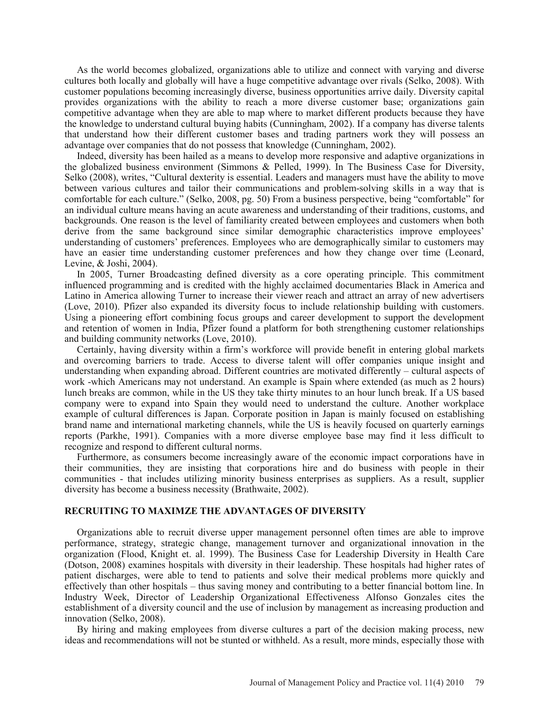As the world becomes globalized, organizations able to utilize and connect with varying and diverse cultures both locally and globally will have a huge competitive advantage over rivals (Selko, 2008). With customer populations becoming increasingly diverse, business opportunities arrive daily. Diversity capital provides organizations with the ability to reach a more diverse customer base; organizations gain competitive advantage when they are able to map where to market different products because they have the knowledge to understand cultural buying habits (Cunningham, 2002). If a company has diverse talents that understand how their different customer bases and trading partners work they will possess an advantage over companies that do not possess that knowledge (Cunningham, 2002).

Indeed, diversity has been hailed as a means to develop more responsive and adaptive organizations in the globalized business environment (Simmons & Pelled, 1999). In The Business Case for Diversity, Selko (2008), writes, "Cultural dexterity is essential. Leaders and managers must have the ability to move between various cultures and tailor their communications and problem-solving skills in a way that is comfortable for each culture." (Selko, 2008, pg. 50) From a business perspective, being "comfortable" for an individual culture means having an acute awareness and understanding of their traditions, customs, and backgrounds. One reason is the level of familiarity created between employees and customers when both derive from the same background since similar demographic characteristics improve employees' understanding of customers' preferences. Employees who are demographically similar to customers may have an easier time understanding customer preferences and how they change over time (Leonard, Levine, & Joshi, 2004).

In 2005, Turner Broadcasting defined diversity as a core operating principle. This commitment influenced programming and is credited with the highly acclaimed documentaries Black in America and Latino in America allowing Turner to increase their viewer reach and attract an array of new advertisers (Love, 2010). Pfizer also expanded its diversity focus to include relationship building with customers. Using a pioneering effort combining focus groups and career development to support the development and retention of women in India, Pfizer found a platform for both strengthening customer relationships and building community networks (Love, 2010).

Certainly, having diversity within a firm's workforce will provide benefit in entering global markets and overcoming barriers to trade. Access to diverse talent will offer companies unique insight and understanding when expanding abroad. Different countries are motivated differently – cultural aspects of work -which Americans may not understand. An example is Spain where extended (as much as 2 hours) lunch breaks are common, while in the US they take thirty minutes to an hour lunch break. If a US based company were to expand into Spain they would need to understand the culture. Another workplace example of cultural differences is Japan. Corporate position in Japan is mainly focused on establishing brand name and international marketing channels, while the US is heavily focused on quarterly earnings reports (Parkhe, 1991). Companies with a more diverse employee base may find it less difficult to recognize and respond to different cultural norms.

Furthermore, as consumers become increasingly aware of the economic impact corporations have in their communities, they are insisting that corporations hire and do business with people in their communities - that includes utilizing minority business enterprises as suppliers. As a result, supplier diversity has become a business necessity (Brathwaite, 2002).

# **RECRUITING TO MAXIMZE THE ADVANTAGES OF DIVERSITY**

Organizations able to recruit diverse upper management personnel often times are able to improve performance, strategy, strategic change, management turnover and organizational innovation in the organization (Flood, Knight et. al. 1999). The Business Case for Leadership Diversity in Health Care (Dotson, 2008) examines hospitals with diversity in their leadership. These hospitals had higher rates of patient discharges, were able to tend to patients and solve their medical problems more quickly and effectively than other hospitals – thus saving money and contributing to a better financial bottom line. In Industry Week, Director of Leadership Organizational Effectiveness Alfonso Gonzales cites the establishment of a diversity council and the use of inclusion by management as increasing production and innovation (Selko, 2008).

By hiring and making employees from diverse cultures a part of the decision making process, new ideas and recommendations will not be stunted or withheld. As a result, more minds, especially those with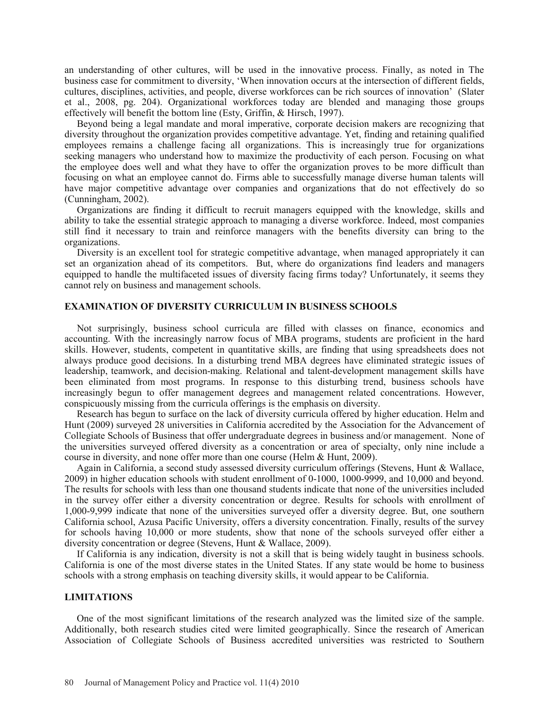an understanding of other cultures, will be used in the innovative process. Finally, as noted in The business case for commitment to diversity, 'When innovation occurs at the intersection of different fields, cultures, disciplines, activities, and people, diverse workforces can be rich sources of innovation' (Slater et al., 2008, pg. 204). Organizational workforces today are blended and managing those groups effectively will benefit the bottom line (Esty, Griffin, & Hirsch, 1997).

Beyond being a legal mandate and moral imperative, corporate decision makers are recognizing that diversity throughout the organization provides competitive advantage. Yet, finding and retaining qualified employees remains a challenge facing all organizations. This is increasingly true for organizations seeking managers who understand how to maximize the productivity of each person. Focusing on what the employee does well and what they have to offer the organization proves to be more difficult than focusing on what an employee cannot do. Firms able to successfully manage diverse human talents will have major competitive advantage over companies and organizations that do not effectively do so (Cunningham, 2002).

Organizations are finding it difficult to recruit managers equipped with the knowledge, skills and ability to take the essential strategic approach to managing a diverse workforce. Indeed, most companies still find it necessary to train and reinforce managers with the benefits diversity can bring to the organizations.

Diversity is an excellent tool for strategic competitive advantage, when managed appropriately it can set an organization ahead of its competitors. But, where do organizations find leaders and managers equipped to handle the multifaceted issues of diversity facing firms today? Unfortunately, it seems they cannot rely on business and management schools.

# **EXAMINATION OF DIVERSITY CURRICULUM IN BUSINESS SCHOOLS**

Not surprisingly, business school curricula are filled with classes on finance, economics and accounting. With the increasingly narrow focus of MBA programs, students are proficient in the hard skills. However, students, competent in quantitative skills, are finding that using spreadsheets does not always produce good decisions. In a disturbing trend MBA degrees have eliminated strategic issues of leadership, teamwork, and decision-making. Relational and talent-development management skills have been eliminated from most programs. In response to this disturbing trend, business schools have increasingly begun to offer management degrees and management related concentrations. However, conspicuously missing from the curricula offerings is the emphasis on diversity.

Research has begun to surface on the lack of diversity curricula offered by higher education. Helm and Hunt (2009) surveyed 28 universities in California accredited by the Association for the Advancement of Collegiate Schools of Business that offer undergraduate degrees in business and/or management. None of the universities surveyed offered diversity as a concentration or area of specialty, only nine include a course in diversity, and none offer more than one course (Helm & Hunt, 2009).

Again in California, a second study assessed diversity curriculum offerings (Stevens, Hunt & Wallace, 2009) in higher education schools with student enrollment of 0-1000, 1000-9999, and 10,000 and beyond. The results for schools with less than one thousand students indicate that none of the universities included in the survey offer either a diversity concentration or degree. Results for schools with enrollment of 1,000-9,999 indicate that none of the universities surveyed offer a diversity degree. But, one southern California school, Azusa Pacific University, offers a diversity concentration. Finally, results of the survey for schools having 10,000 or more students, show that none of the schools surveyed offer either a diversity concentration or degree (Stevens, Hunt & Wallace, 2009).

If California is any indication, diversity is not a skill that is being widely taught in business schools. California is one of the most diverse states in the United States. If any state would be home to business schools with a strong emphasis on teaching diversity skills, it would appear to be California.

# **LIMITATIONS**

One of the most significant limitations of the research analyzed was the limited size of the sample. Additionally, both research studies cited were limited geographically. Since the research of American Association of Collegiate Schools of Business accredited universities was restricted to Southern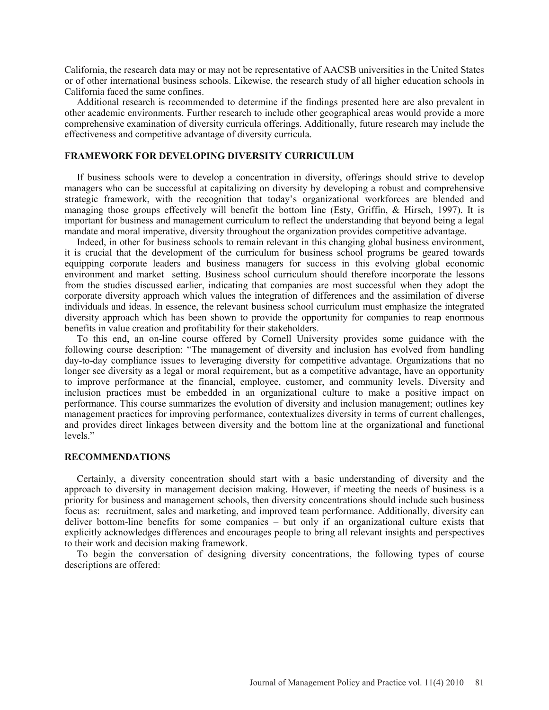California, the research data may or may not be representative of AACSB universities in the United States or of other international business schools. Likewise, the research study of all higher education schools in California faced the same confines.

Additional research is recommended to determine if the findings presented here are also prevalent in other academic environments. Further research to include other geographical areas would provide a more comprehensive examination of diversity curricula offerings. Additionally, future research may include the effectiveness and competitive advantage of diversity curricula.

# **FRAMEWORK FOR DEVELOPING DIVERSITY CURRICULUM**

If business schools were to develop a concentration in diversity, offerings should strive to develop managers who can be successful at capitalizing on diversity by developing a robust and comprehensive strategic framework, with the recognition that today's organizational workforces are blended and managing those groups effectively will benefit the bottom line (Esty, Griffin, & Hirsch, 1997). It is important for business and management curriculum to reflect the understanding that beyond being a legal mandate and moral imperative, diversity throughout the organization provides competitive advantage.

Indeed, in other for business schools to remain relevant in this changing global business environment, it is crucial that the development of the curriculum for business school programs be geared towards equipping corporate leaders and business managers for success in this evolving global economic environment and market setting. Business school curriculum should therefore incorporate the lessons from the studies discussed earlier, indicating that companies are most successful when they adopt the corporate diversity approach which values the integration of differences and the assimilation of diverse individuals and ideas. In essence, the relevant business school curriculum must emphasize the integrated diversity approach which has been shown to provide the opportunity for companies to reap enormous benefits in value creation and profitability for their stakeholders.

To this end, an on-line course offered by Cornell University provides some guidance with the following course description: "The management of diversity and inclusion has evolved from handling day-to-day compliance issues to leveraging diversity for competitive advantage. Organizations that no longer see diversity as a legal or moral requirement, but as a competitive advantage, have an opportunity to improve performance at the financial, employee, customer, and community levels. Diversity and inclusion practices must be embedded in an organizational culture to make a positive impact on performance. This course summarizes the evolution of diversity and inclusion management; outlines key management practices for improving performance, contextualizes diversity in terms of current challenges, and provides direct linkages between diversity and the bottom line at the organizational and functional levels<sup>"</sup>

# **RECOMMENDATIONS**

Certainly, a diversity concentration should start with a basic understanding of diversity and the approach to diversity in management decision making. However, if meeting the needs of business is a priority for business and management schools, then diversity concentrations should include such business focus as: recruitment, sales and marketing, and improved team performance. Additionally, diversity can deliver bottom-line benefits for some companies – but only if an organizational culture exists that explicitly acknowledges differences and encourages people to bring all relevant insights and perspectives to their work and decision making framework.

To begin the conversation of designing diversity concentrations, the following types of course descriptions are offered: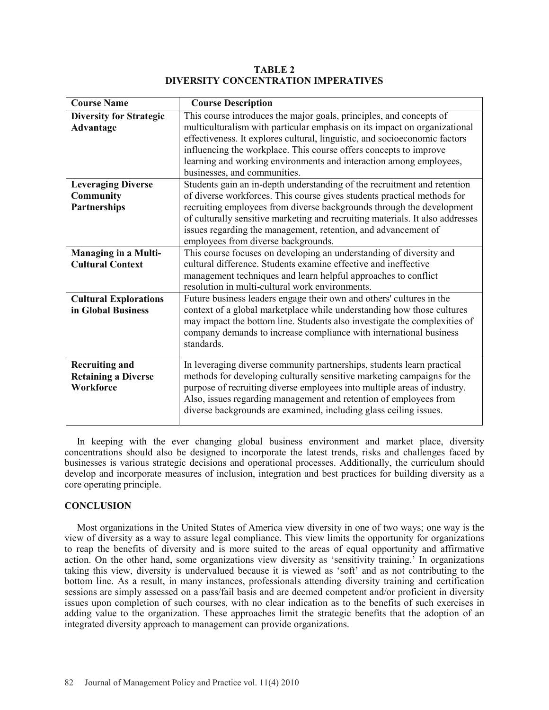**TABLE 2 DIVERSITY CONCENTRATION IMPERATIVES**

| <b>Course Name</b>                                                   | <b>Course Description</b>                                                                                                                                                                                                                                                                                                                                                                                              |
|----------------------------------------------------------------------|------------------------------------------------------------------------------------------------------------------------------------------------------------------------------------------------------------------------------------------------------------------------------------------------------------------------------------------------------------------------------------------------------------------------|
| <b>Diversity for Strategic</b><br>Advantage                          | This course introduces the major goals, principles, and concepts of<br>multiculturalism with particular emphasis on its impact on organizational<br>effectiveness. It explores cultural, linguistic, and socioeconomic factors<br>influencing the workplace. This course offers concepts to improve<br>learning and working environments and interaction among employees,<br>businesses, and communities.              |
| <b>Leveraging Diverse</b><br><b>Community</b><br><b>Partnerships</b> | Students gain an in-depth understanding of the recruitment and retention<br>of diverse workforces. This course gives students practical methods for<br>recruiting employees from diverse backgrounds through the development<br>of culturally sensitive marketing and recruiting materials. It also addresses<br>issues regarding the management, retention, and advancement of<br>employees from diverse backgrounds. |
| <b>Managing in a Multi-</b><br><b>Cultural Context</b>               | This course focuses on developing an understanding of diversity and<br>cultural difference. Students examine effective and ineffective<br>management techniques and learn helpful approaches to conflict<br>resolution in multi-cultural work environments.                                                                                                                                                            |
| <b>Cultural Explorations</b><br>in Global Business                   | Future business leaders engage their own and others' cultures in the<br>context of a global marketplace while understanding how those cultures<br>may impact the bottom line. Students also investigate the complexities of<br>company demands to increase compliance with international business<br>standards.                                                                                                        |
| <b>Recruiting and</b><br><b>Retaining a Diverse</b><br>Workforce     | In leveraging diverse community partnerships, students learn practical<br>methods for developing culturally sensitive marketing campaigns for the<br>purpose of recruiting diverse employees into multiple areas of industry.<br>Also, issues regarding management and retention of employees from<br>diverse backgrounds are examined, including glass ceiling issues.                                                |

In keeping with the ever changing global business environment and market place, diversity concentrations should also be designed to incorporate the latest trends, risks and challenges faced by businesses is various strategic decisions and operational processes. Additionally, the curriculum should develop and incorporate measures of inclusion, integration and best practices for building diversity as a core operating principle.

# **CONCLUSION**

Most organizations in the United States of America view diversity in one of two ways; one way is the view of diversity as a way to assure legal compliance. This view limits the opportunity for organizations to reap the benefits of diversity and is more suited to the areas of equal opportunity and affirmative action. On the other hand, some organizations view diversity as 'sensitivity training.' In organizations taking this view, diversity is undervalued because it is viewed as 'soft' and as not contributing to the bottom line. As a result, in many instances, professionals attending diversity training and certification sessions are simply assessed on a pass/fail basis and are deemed competent and/or proficient in diversity issues upon completion of such courses, with no clear indication as to the benefits of such exercises in adding value to the organization. These approaches limit the strategic benefits that the adoption of an integrated diversity approach to management can provide organizations.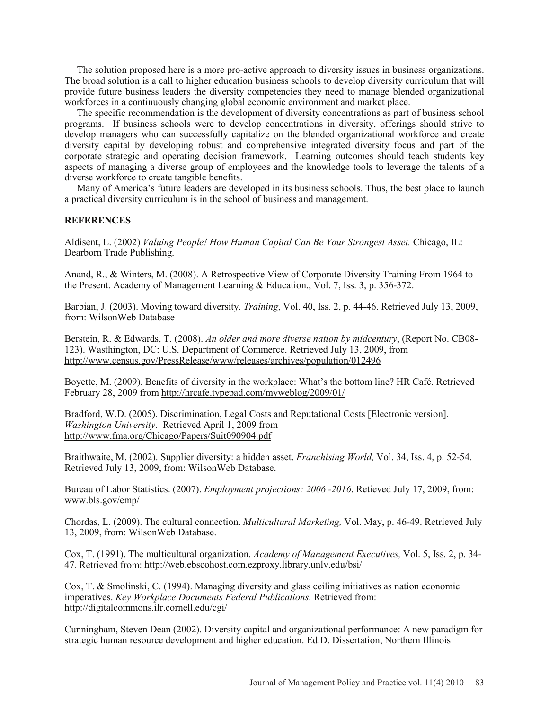The solution proposed here is a more pro-active approach to diversity issues in business organizations. The broad solution is a call to higher education business schools to develop diversity curriculum that will provide future business leaders the diversity competencies they need to manage blended organizational workforces in a continuously changing global economic environment and market place.

The specific recommendation is the development of diversity concentrations as part of business school programs. If business schools were to develop concentrations in diversity, offerings should strive to develop managers who can successfully capitalize on the blended organizational workforce and create diversity capital by developing robust and comprehensive integrated diversity focus and part of the corporate strategic and operating decision framework. Learning outcomes should teach students key aspects of managing a diverse group of employees and the knowledge tools to leverage the talents of a diverse workforce to create tangible benefits.

Many of America's future leaders are developed in its business schools. Thus, the best place to launch a practical diversity curriculum is in the school of business and management.

## **REFERENCES**

Aldisent, L. (2002) *Valuing People! How Human Capital Can Be Your Strongest Asset.* Chicago, IL: Dearborn Trade Publishing.

Anand, R., & Winters, M. (2008). A Retrospective View of Corporate Diversity Training From 1964 to the Present. Academy of Management Learning & Education., Vol. 7, Iss. 3, p. 356-372.

Barbian, J. (2003). Moving toward diversity. *Training*, Vol. 40, Iss. 2, p. 44-46. Retrieved July 13, 2009, from: WilsonWeb Database

Berstein, R. & Edwards, T. (2008). *An older and more diverse nation by midcentury*, (Report No. CB08- 123). Wasthington, DC: U.S. Department of Commerce. Retrieved July 13, 2009, from http://www.census.gov/PressRelease/www/releases/archives/population/012496

Boyette, M. (2009). Benefits of diversity in the workplace: What's the bottom line? HR Café. Retrieved February 28, 2009 from http://hrcafe.typepad.com/myweblog/2009/01/

Bradford, W.D. (2005). Discrimination, Legal Costs and Reputational Costs [Electronic version]. *Washington University*. Retrieved April 1, 2009 from http://www.fma.org/Chicago/Papers/Suit090904.pdf

Braithwaite, M. (2002). Supplier diversity: a hidden asset. *Franchising World,* Vol. 34, Iss. 4, p. 52-54. Retrieved July 13, 2009, from: WilsonWeb Database.

Bureau of Labor Statistics. (2007). *Employment projections: 2006 -2016*. Retieved July 17, 2009, from: www.bls.gov/emp/

Chordas, L. (2009). The cultural connection. *Multicultural Marketing,* Vol. May, p. 46-49. Retrieved July 13, 2009, from: WilsonWeb Database.

Cox, T. (1991). The multicultural organization. *Academy of Management Executives,* Vol. 5, Iss. 2, p. 34- 47. Retrieved from: http://web.ebscohost.com.ezproxy.library.unlv.edu/bsi/

Cox, T. & Smolinski, C. (1994). Managing diversity and glass ceiling initiatives as nation economic imperatives. *Key Workplace Documents Federal Publications.* Retrieved from: http://digitalcommons.ilr.cornell.edu/cgi/

Cunningham, Steven Dean (2002). Diversity capital and organizational performance: A new paradigm for strategic human resource development and higher education. Ed.D. Dissertation, Northern Illinois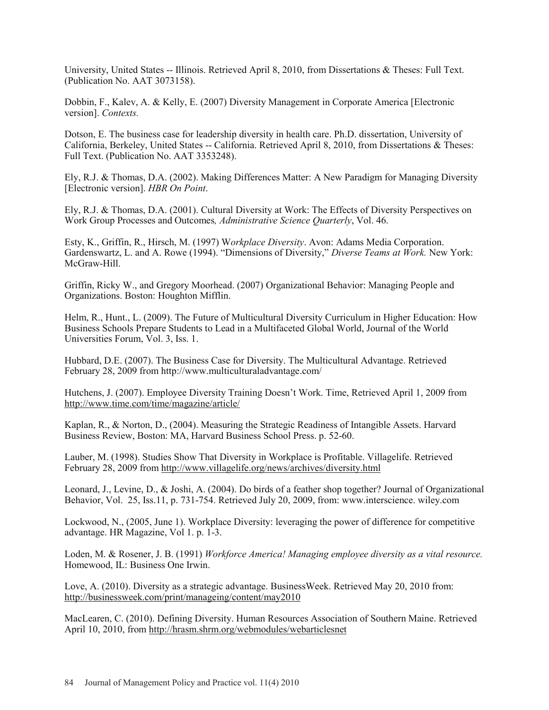University, United States -- Illinois. Retrieved April 8, 2010, from Dissertations & Theses: Full Text. (Publication No. AAT 3073158).

Dobbin, F., Kalev, A. & Kelly, E. (2007) Diversity Management in Corporate America [Electronic version]. *Contexts.* 

Dotson, E. The business case for leadership diversity in health care. Ph.D. dissertation, University of California, Berkeley, United States -- California. Retrieved April 8, 2010, from Dissertations & Theses: Full Text. (Publication No. AAT 3353248).

Ely, R.J. & Thomas, D.A. (2002). Making Differences Matter: A New Paradigm for Managing Diversity [Electronic version]. *HBR On Point*.

Ely, R.J. & Thomas, D.A. (2001). Cultural Diversity at Work: The Effects of Diversity Perspectives on Work Group Processes and Outcomes*, Administrative Science Quarterly*, Vol. 46.

Esty, K., Griffin, R., Hirsch, M. (1997) W*orkplace Diversity*. Avon: Adams Media Corporation. Gardenswartz, L. and A. Rowe (1994). "Dimensions of Diversity," *Diverse Teams at Work.* New York: McGraw-Hill.

Griffin, Ricky W., and Gregory Moorhead. (2007) Organizational Behavior: Managing People and Organizations. Boston: Houghton Mifflin.

Helm, R., Hunt., L. (2009). The Future of Multicultural Diversity Curriculum in Higher Education: How Business Schools Prepare Students to Lead in a Multifaceted Global World, Journal of the World Universities Forum, Vol. 3, Iss. 1.

Hubbard, D.E. (2007). The Business Case for Diversity. The Multicultural Advantage. Retrieved February 28, 2009 from http://www.multiculturaladvantage.com/

Hutchens, J. (2007). Employee Diversity Training Doesn't Work. Time, Retrieved April 1, 2009 from http://www.time.com/time/magazine/article/

Kaplan, R., & Norton, D., (2004). Measuring the Strategic Readiness of Intangible Assets. Harvard Business Review, Boston: MA, Harvard Business School Press. p. 52-60.

Lauber, M. (1998). Studies Show That Diversity in Workplace is Profitable. Villagelife. Retrieved February 28, 2009 from http://www.villagelife.org/news/archives/diversity.html

Leonard, J., Levine, D., & Joshi, A. (2004). Do birds of a feather shop together? Journal of Organizational Behavior, Vol. 25, Iss.11, p. 731-754. Retrieved July 20, 2009, from: www.interscience. wiley.com

Lockwood, N., (2005, June 1). Workplace Diversity: leveraging the power of difference for competitive advantage. HR Magazine, Vol 1. p. 1-3.

Loden, M. & Rosener, J. B. (1991) *Workforce America! Managing employee diversity as a vital resource.* Homewood, IL: Business One Irwin.

Love, A. (2010). Diversity as a strategic advantage. BusinessWeek. Retrieved May 20, 2010 from: http://businessweek.com/print/manageing/content/may2010

MacLearen, C. (2010). Defining Diversity. Human Resources Association of Southern Maine. Retrieved April 10, 2010, from http://hrasm.shrm.org/webmodules/webarticlesnet